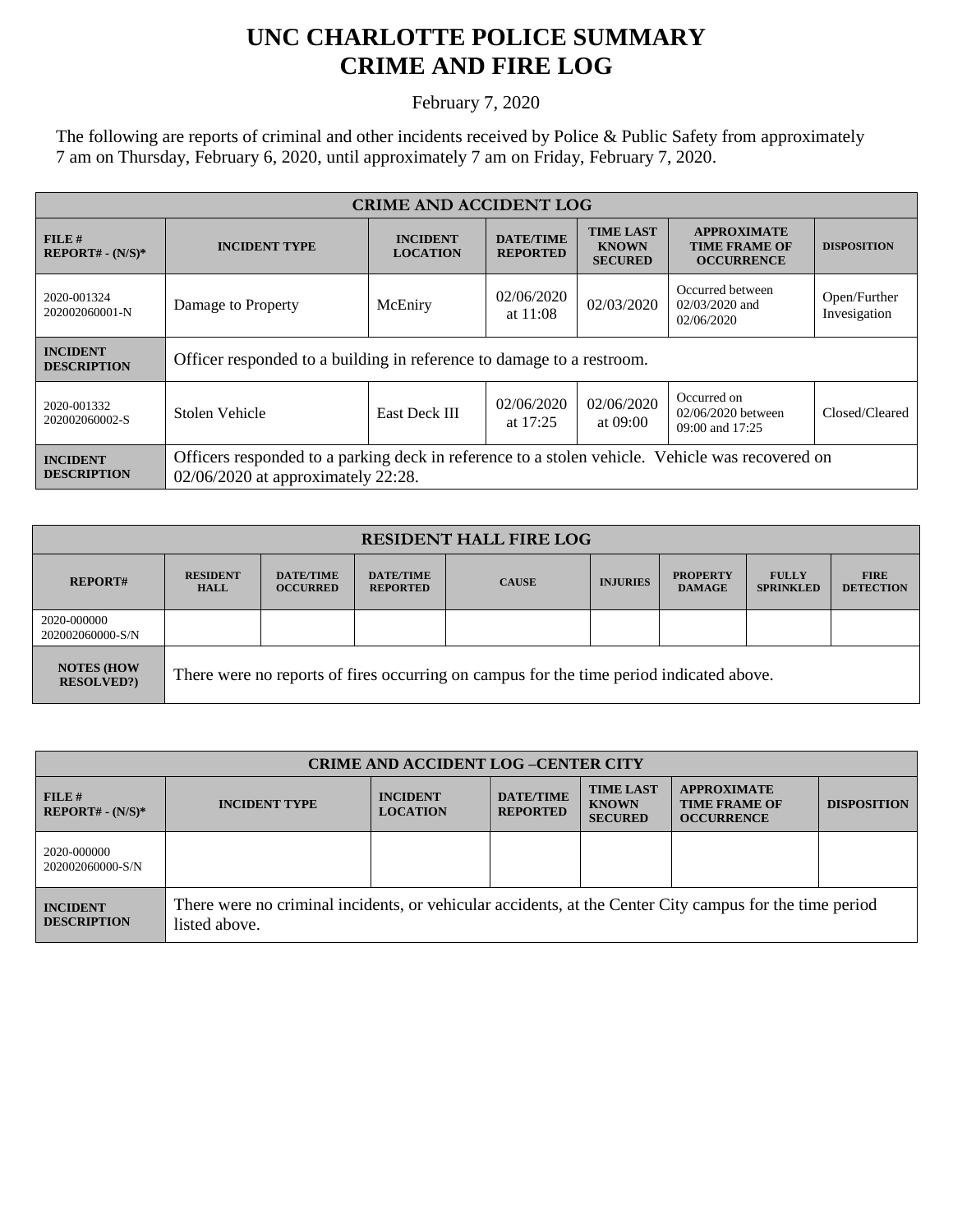## **UNC CHARLOTTE POLICE SUMMARY CRIME AND FIRE LOG**

February 7, 2020

The following are reports of criminal and other incidents received by Police & Public Safety from approximately 7 am on Thursday, February 6, 2020, until approximately 7 am on Friday, February 7, 2020.

| <b>CRIME AND ACCIDENT LOG</b>         |                                                                                                                                       |                                     |                                     |                                                    |                                                                 |                              |
|---------------------------------------|---------------------------------------------------------------------------------------------------------------------------------------|-------------------------------------|-------------------------------------|----------------------------------------------------|-----------------------------------------------------------------|------------------------------|
| FILE#<br>$REPORT# - (N/S)*$           | <b>INCIDENT TYPE</b>                                                                                                                  | <b>INCIDENT</b><br><b>LOCATION</b>  | <b>DATE/TIME</b><br><b>REPORTED</b> | <b>TIME LAST</b><br><b>KNOWN</b><br><b>SECURED</b> | <b>APPROXIMATE</b><br><b>TIME FRAME OF</b><br><b>OCCURRENCE</b> | <b>DISPOSITION</b>           |
| 2020-001324<br>202002060001-N         | Damage to Property                                                                                                                    | 02/06/2020<br>McEniry<br>at $11:08$ |                                     | 02/03/2020                                         | Occurred between<br>$02/03/2020$ and<br>02/06/2020              | Open/Further<br>Invesigation |
| <b>INCIDENT</b><br><b>DESCRIPTION</b> | Officer responded to a building in reference to damage to a restroom.                                                                 |                                     |                                     |                                                    |                                                                 |                              |
| 2020-001332<br>202002060002-S         | Stolen Vehicle                                                                                                                        | East Deck III                       | 02/06/2020<br>at $17:25$            | 02/06/2020<br>at 09:00                             | Occurred on<br>02/06/2020 between<br>09:00 and 17:25            | Closed/Cleared               |
| <b>INCIDENT</b><br><b>DESCRIPTION</b> | Officers responded to a parking deck in reference to a stolen vehicle. Vehicle was recovered on<br>02/06/2020 at approximately 22:28. |                                     |                                     |                                                    |                                                                 |                              |

| <b>RESIDENT HALL FIRE LOG</b>          |                                                                                         |                                     |                                     |              |                 |                                  |                                  |                                 |
|----------------------------------------|-----------------------------------------------------------------------------------------|-------------------------------------|-------------------------------------|--------------|-----------------|----------------------------------|----------------------------------|---------------------------------|
| <b>REPORT#</b>                         | <b>RESIDENT</b><br><b>HALL</b>                                                          | <b>DATE/TIME</b><br><b>OCCURRED</b> | <b>DATE/TIME</b><br><b>REPORTED</b> | <b>CAUSE</b> | <b>INJURIES</b> | <b>PROPERTY</b><br><b>DAMAGE</b> | <b>FULLY</b><br><b>SPRINKLED</b> | <b>FIRE</b><br><b>DETECTION</b> |
| 2020-000000<br>202002060000-S/N        |                                                                                         |                                     |                                     |              |                 |                                  |                                  |                                 |
| <b>NOTES (HOW)</b><br><b>RESOLVED?</b> | There were no reports of fires occurring on campus for the time period indicated above. |                                     |                                     |              |                 |                                  |                                  |                                 |

| <b>CRIME AND ACCIDENT LOG-CENTER CITY</b> |                                                                                                                          |                                    |                                     |                                                    |                                                                 |                    |
|-------------------------------------------|--------------------------------------------------------------------------------------------------------------------------|------------------------------------|-------------------------------------|----------------------------------------------------|-----------------------------------------------------------------|--------------------|
| FILE#<br>$REPORT# - (N/S)*$               | <b>INCIDENT TYPE</b>                                                                                                     | <b>INCIDENT</b><br><b>LOCATION</b> | <b>DATE/TIME</b><br><b>REPORTED</b> | <b>TIME LAST</b><br><b>KNOWN</b><br><b>SECURED</b> | <b>APPROXIMATE</b><br><b>TIME FRAME OF</b><br><b>OCCURRENCE</b> | <b>DISPOSITION</b> |
| 2020-000000<br>202002060000-S/N           |                                                                                                                          |                                    |                                     |                                                    |                                                                 |                    |
| <b>INCIDENT</b><br><b>DESCRIPTION</b>     | There were no criminal incidents, or vehicular accidents, at the Center City campus for the time period<br>listed above. |                                    |                                     |                                                    |                                                                 |                    |